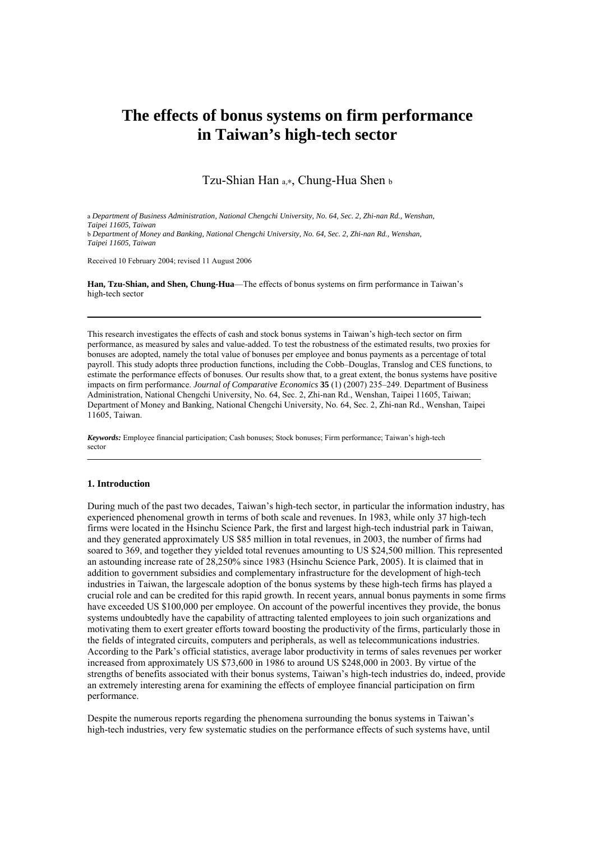# **The effects of bonus systems on firm performance in Taiwan's high-tech sector**

Tzu-Shian Han a,<sup>∗</sup>, Chung-Hua Shen b

a *Department of Business Administration, National Chengchi University, No. 64, Sec. 2, Zhi-nan Rd., Wenshan, Taipei 11605, Taiwan*  b *Department of Money and Banking, National Chengchi University, No. 64, Sec. 2, Zhi-nan Rd., Wenshan, Taipei 11605, Taiwan* 

Received 10 February 2004; revised 11 August 2006

**Han, Tzu-Shian, and Shen, Chung-Hua**—The effects of bonus systems on firm performance in Taiwan's high-tech sector

This research investigates the effects of cash and stock bonus systems in Taiwan's high-tech sector on firm performance, as measured by sales and value-added. To test the robustness of the estimated results, two proxies for bonuses are adopted, namely the total value of bonuses per employee and bonus payments as a percentage of total payroll. This study adopts three production functions, including the Cobb–Douglas, Translog and CES functions, to estimate the performance effects of bonuses. Our results show that, to a great extent, the bonus systems have positive impacts on firm performance. *Journal of Comparative Economics* **35** (1) (2007) 235–249. Department of Business Administration, National Chengchi University, No. 64, Sec. 2, Zhi-nan Rd., Wenshan, Taipei 11605, Taiwan; Department of Money and Banking, National Chengchi University, No. 64, Sec. 2, Zhi-nan Rd., Wenshan, Taipei 11605, Taiwan.

*Keywords:* Employee financial participation; Cash bonuses; Stock bonuses; Firm performance; Taiwan's high-tech sector

#### **1. Introduction**

During much of the past two decades, Taiwan's high-tech sector, in particular the information industry, has experienced phenomenal growth in terms of both scale and revenues. In 1983, while only 37 high-tech firms were located in the Hsinchu Science Park, the first and largest high-tech industrial park in Taiwan, and they generated approximately US \$85 million in total revenues, in 2003, the number of firms had soared to 369, and together they yielded total revenues amounting to US \$24,500 million. This represented an astounding increase rate of 28,250% since 1983 (Hsinchu Science Park, 2005). It is claimed that in addition to government subsidies and complementary infrastructure for the development of high-tech industries in Taiwan, the largescale adoption of the bonus systems by these high-tech firms has played a crucial role and can be credited for this rapid growth. In recent years, annual bonus payments in some firms have exceeded US \$100,000 per employee. On account of the powerful incentives they provide, the bonus systems undoubtedly have the capability of attracting talented employees to join such organizations and motivating them to exert greater efforts toward boosting the productivity of the firms, particularly those in the fields of integrated circuits, computers and peripherals, as well as telecommunications industries. According to the Park's official statistics, average labor productivity in terms of sales revenues per worker increased from approximately US \$73,600 in 1986 to around US \$248,000 in 2003. By virtue of the strengths of benefits associated with their bonus systems, Taiwan's high-tech industries do, indeed, provide an extremely interesting arena for examining the effects of employee financial participation on firm performance.

Despite the numerous reports regarding the phenomena surrounding the bonus systems in Taiwan's high-tech industries, very few systematic studies on the performance effects of such systems have, until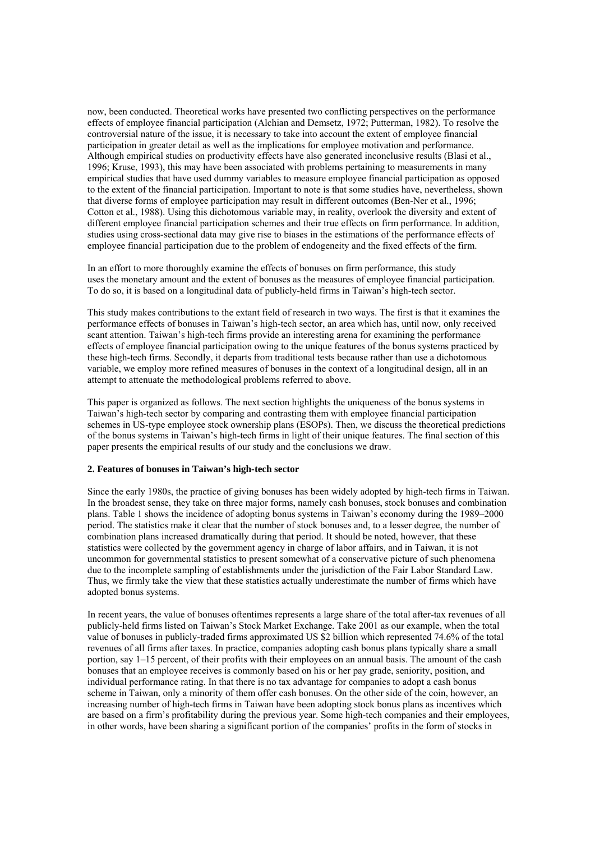now, been conducted. Theoretical works have presented two conflicting perspectives on the performance effects of employee financial participation (Alchian and Demsetz, 1972; Putterman, 1982). To resolve the controversial nature of the issue, it is necessary to take into account the extent of employee financial participation in greater detail as well as the implications for employee motivation and performance. Although empirical studies on productivity effects have also generated inconclusive results (Blasi et al., 1996; Kruse, 1993), this may have been associated with problems pertaining to measurements in many empirical studies that have used dummy variables to measure employee financial participation as opposed to the extent of the financial participation. Important to note is that some studies have, nevertheless, shown that diverse forms of employee participation may result in different outcomes (Ben-Ner et al., 1996; Cotton et al., 1988). Using this dichotomous variable may, in reality, overlook the diversity and extent of different employee financial participation schemes and their true effects on firm performance. In addition, studies using cross-sectional data may give rise to biases in the estimations of the performance effects of employee financial participation due to the problem of endogeneity and the fixed effects of the firm.

In an effort to more thoroughly examine the effects of bonuses on firm performance, this study uses the monetary amount and the extent of bonuses as the measures of employee financial participation. To do so, it is based on a longitudinal data of publicly-held firms in Taiwan's high-tech sector.

This study makes contributions to the extant field of research in two ways. The first is that it examines the performance effects of bonuses in Taiwan's high-tech sector, an area which has, until now, only received scant attention. Taiwan's high-tech firms provide an interesting arena for examining the performance effects of employee financial participation owing to the unique features of the bonus systems practiced by these high-tech firms. Secondly, it departs from traditional tests because rather than use a dichotomous variable, we employ more refined measures of bonuses in the context of a longitudinal design, all in an attempt to attenuate the methodological problems referred to above.

This paper is organized as follows. The next section highlights the uniqueness of the bonus systems in Taiwan's high-tech sector by comparing and contrasting them with employee financial participation schemes in US-type employee stock ownership plans (ESOPs). Then, we discuss the theoretical predictions of the bonus systems in Taiwan's high-tech firms in light of their unique features. The final section of this paper presents the empirical results of our study and the conclusions we draw.

## **2. Features of bonuses in Taiwan's high-tech sector**

Since the early 1980s, the practice of giving bonuses has been widely adopted by high-tech firms in Taiwan. In the broadest sense, they take on three major forms, namely cash bonuses, stock bonuses and combination plans. Table 1 shows the incidence of adopting bonus systems in Taiwan's economy during the 1989–2000 period. The statistics make it clear that the number of stock bonuses and, to a lesser degree, the number of combination plans increased dramatically during that period. It should be noted, however, that these statistics were collected by the government agency in charge of labor affairs, and in Taiwan, it is not uncommon for governmental statistics to present somewhat of a conservative picture of such phenomena due to the incomplete sampling of establishments under the jurisdiction of the Fair Labor Standard Law. Thus, we firmly take the view that these statistics actually underestimate the number of firms which have adopted bonus systems.

In recent years, the value of bonuses oftentimes represents a large share of the total after-tax revenues of all publicly-held firms listed on Taiwan's Stock Market Exchange. Take 2001 as our example, when the total value of bonuses in publicly-traded firms approximated US \$2 billion which represented 74.6% of the total revenues of all firms after taxes. In practice, companies adopting cash bonus plans typically share a small portion, say 1–15 percent, of their profits with their employees on an annual basis. The amount of the cash bonuses that an employee receives is commonly based on his or her pay grade, seniority, position, and individual performance rating. In that there is no tax advantage for companies to adopt a cash bonus scheme in Taiwan, only a minority of them offer cash bonuses. On the other side of the coin, however, an increasing number of high-tech firms in Taiwan have been adopting stock bonus plans as incentives which are based on a firm's profitability during the previous year. Some high-tech companies and their employees, in other words, have been sharing a significant portion of the companies' profits in the form of stocks in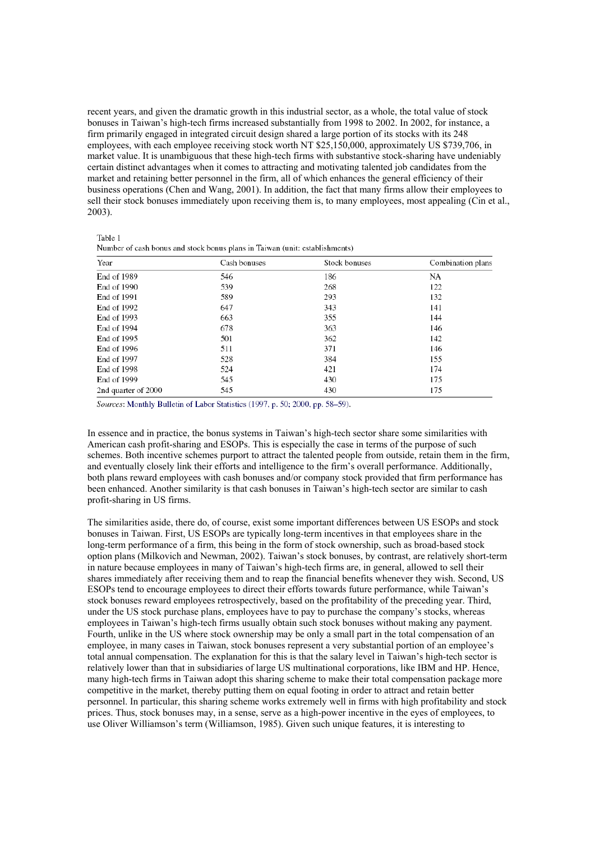recent years, and given the dramatic growth in this industrial sector, as a whole, the total value of stock bonuses in Taiwan's high-tech firms increased substantially from 1998 to 2002. In 2002, for instance, a firm primarily engaged in integrated circuit design shared a large portion of its stocks with its 248 employees, with each employee receiving stock worth NT \$25,150,000, approximately US \$739,706, in market value. It is unambiguous that these high-tech firms with substantive stock-sharing have undeniably certain distinct advantages when it comes to attracting and motivating talented job candidates from the market and retaining better personnel in the firm, all of which enhances the general efficiency of their business operations (Chen and Wang, 2001). In addition, the fact that many firms allow their employees to sell their stock bonuses immediately upon receiving them is, to many employees, most appealing (Cin et al., 2003).

| Cash bonuses | Stock bonuses | Combination plans |
|--------------|---------------|-------------------|
| 546          | 186           | NA                |
| 539          | 268           | 122               |
| 589          | 293           | 132               |
| 647          | 343           | 141               |
| 663          | 355           | 144               |
| 678          | 363           | 146               |
| 501          | 362           | 142               |
| 511          | 371           | 146               |
| 528          | 384           | 155               |
| 524          | 421           | 174               |
| 545          | 430           | 175               |
| 545          | 430           | 175               |
|              |               |                   |

Number of cash bonus and stock bonus plans in Taiwan (unit: establishments)

Table 1

Sources: Monthly Bulletin of Labor Statistics (1997, p. 50; 2000, pp. 58-59).

In essence and in practice, the bonus systems in Taiwan's high-tech sector share some similarities with American cash profit-sharing and ESOPs. This is especially the case in terms of the purpose of such schemes. Both incentive schemes purport to attract the talented people from outside, retain them in the firm, and eventually closely link their efforts and intelligence to the firm's overall performance. Additionally, both plans reward employees with cash bonuses and/or company stock provided that firm performance has been enhanced. Another similarity is that cash bonuses in Taiwan's high-tech sector are similar to cash profit-sharing in US firms.

The similarities aside, there do, of course, exist some important differences between US ESOPs and stock bonuses in Taiwan. First, US ESOPs are typically long-term incentives in that employees share in the long-term performance of a firm, this being in the form of stock ownership, such as broad-based stock option plans (Milkovich and Newman, 2002). Taiwan's stock bonuses, by contrast, are relatively short-term in nature because employees in many of Taiwan's high-tech firms are, in general, allowed to sell their shares immediately after receiving them and to reap the financial benefits whenever they wish. Second, US ESOPs tend to encourage employees to direct their efforts towards future performance, while Taiwan's stock bonuses reward employees retrospectively, based on the profitability of the preceding year. Third, under the US stock purchase plans, employees have to pay to purchase the company's stocks, whereas employees in Taiwan's high-tech firms usually obtain such stock bonuses without making any payment. Fourth, unlike in the US where stock ownership may be only a small part in the total compensation of an employee, in many cases in Taiwan, stock bonuses represent a very substantial portion of an employee's total annual compensation. The explanation for this is that the salary level in Taiwan's high-tech sector is relatively lower than that in subsidiaries of large US multinational corporations, like IBM and HP. Hence, many high-tech firms in Taiwan adopt this sharing scheme to make their total compensation package more competitive in the market, thereby putting them on equal footing in order to attract and retain better personnel. In particular, this sharing scheme works extremely well in firms with high profitability and stock prices. Thus, stock bonuses may, in a sense, serve as a high-power incentive in the eyes of employees, to use Oliver Williamson's term (Williamson, 1985). Given such unique features, it is interesting to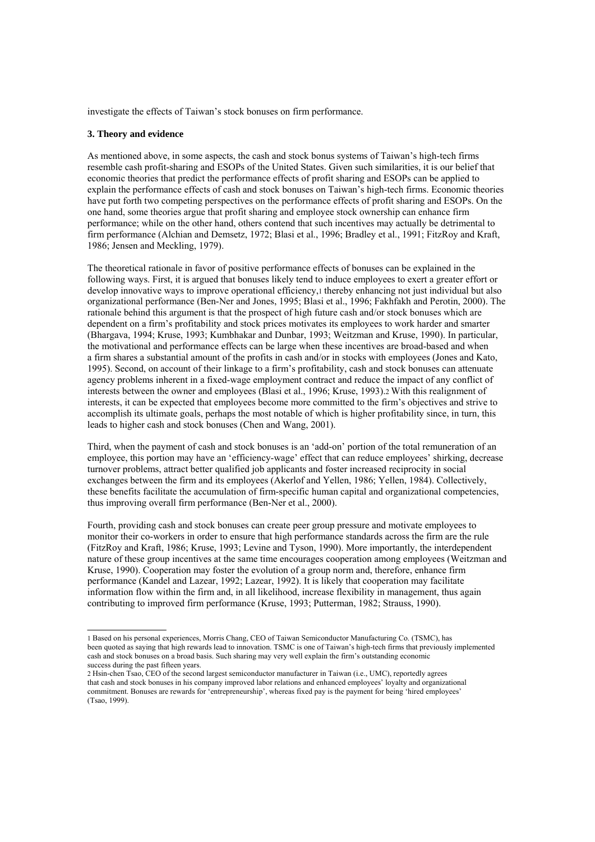investigate the effects of Taiwan's stock bonuses on firm performance.

## **3. Theory and evidence**

As mentioned above, in some aspects, the cash and stock bonus systems of Taiwan's high-tech firms resemble cash profit-sharing and ESOPs of the United States. Given such similarities, it is our belief that economic theories that predict the performance effects of profit sharing and ESOPs can be applied to explain the performance effects of cash and stock bonuses on Taiwan's high-tech firms. Economic theories have put forth two competing perspectives on the performance effects of profit sharing and ESOPs. On the one hand, some theories argue that profit sharing and employee stock ownership can enhance firm performance; while on the other hand, others contend that such incentives may actually be detrimental to firm performance (Alchian and Demsetz, 1972; Blasi et al., 1996; Bradley et al., 1991; FitzRoy and Kraft, 1986; Jensen and Meckling, 1979).

The theoretical rationale in favor of positive performance effects of bonuses can be explained in the following ways. First, it is argued that bonuses likely tend to induce employees to exert a greater effort or develop innovative ways to improve operational efficiency, thereby enhancing not just individual but also organizational performance (Ben-Ner and Jones, 1995; Blasi et al., 1996; Fakhfakh and Perotin, 2000). The rationale behind this argument is that the prospect of high future cash and/or stock bonuses which are dependent on a firm's profitability and stock prices motivates its employees to work harder and smarter (Bhargava, 1994; Kruse, 1993; Kumbhakar and Dunbar, 1993; Weitzman and Kruse, 1990). In particular, the motivational and performance effects can be large when these incentives are broad-based and when a firm shares a substantial amount of the profits in cash and/or in stocks with employees (Jones and Kato, 1995). Second, on account of their linkage to a firm's profitability, cash and stock bonuses can attenuate agency problems inherent in a fixed-wage employment contract and reduce the impact of any conflict of interests between the owner and employees (Blasi et al., 1996; Kruse, 1993).2 With this realignment of interests, it can be expected that employees become more committed to the firm's objectives and strive to accomplish its ultimate goals, perhaps the most notable of which is higher profitability since, in turn, this leads to higher cash and stock bonuses (Chen and Wang, 2001).

Third, when the payment of cash and stock bonuses is an 'add-on' portion of the total remuneration of an employee, this portion may have an 'efficiency-wage' effect that can reduce employees' shirking, decrease turnover problems, attract better qualified job applicants and foster increased reciprocity in social exchanges between the firm and its employees (Akerlof and Yellen, 1986; Yellen, 1984). Collectively, these benefits facilitate the accumulation of firm-specific human capital and organizational competencies, thus improving overall firm performance (Ben-Ner et al., 2000).

Fourth, providing cash and stock bonuses can create peer group pressure and motivate employees to monitor their co-workers in order to ensure that high performance standards across the firm are the rule (FitzRoy and Kraft, 1986; Kruse, 1993; Levine and Tyson, 1990). More importantly, the interdependent nature of these group incentives at the same time encourages cooperation among employees (Weitzman and Kruse, 1990). Cooperation may foster the evolution of a group norm and, therefore, enhance firm performance (Kandel and Lazear, 1992; Lazear, 1992). It is likely that cooperation may facilitate information flow within the firm and, in all likelihood, increase flexibility in management, thus again contributing to improved firm performance (Kruse, 1993; Putterman, 1982; Strauss, 1990).

<sup>1</sup> Based on his personal experiences, Morris Chang, CEO of Taiwan Semiconductor Manufacturing Co. (TSMC), has been quoted as saying that high rewards lead to innovation. TSMC is one of Taiwan's high-tech firms that previously implemented cash and stock bonuses on a broad basis. Such sharing may very well explain the firm's outstanding economic success during the past fifteen years.

<sup>2</sup> Hsin-chen Tsao, CEO of the second largest semiconductor manufacturer in Taiwan (i.e., UMC), reportedly agrees that cash and stock bonuses in his company improved labor relations and enhanced employees' loyalty and organizational commitment. Bonuses are rewards for 'entrepreneurship', whereas fixed pay is the payment for being 'hired employees' (Tsao, 1999).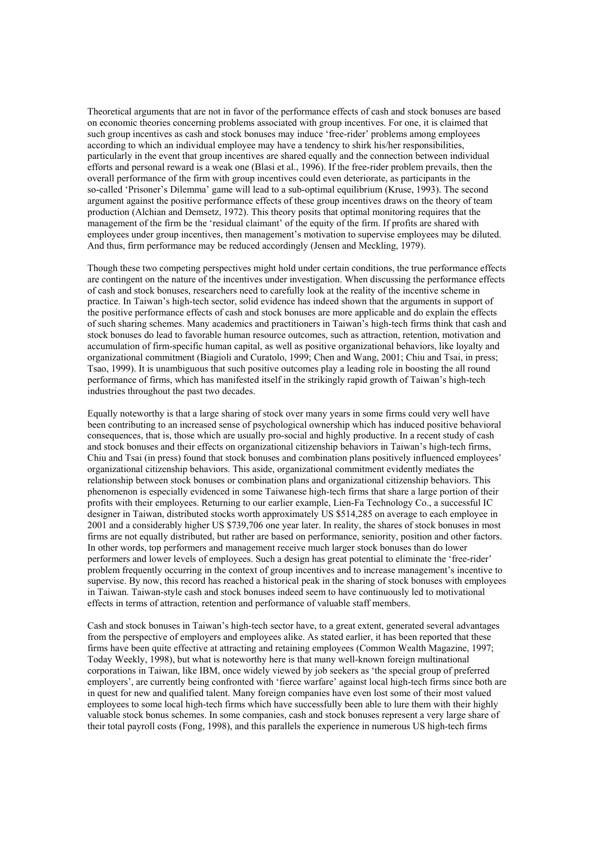Theoretical arguments that are not in favor of the performance effects of cash and stock bonuses are based on economic theories concerning problems associated with group incentives. For one, it is claimed that such group incentives as cash and stock bonuses may induce 'free-rider' problems among employees according to which an individual employee may have a tendency to shirk his/her responsibilities, particularly in the event that group incentives are shared equally and the connection between individual efforts and personal reward is a weak one (Blasi et al., 1996). If the free-rider problem prevails, then the overall performance of the firm with group incentives could even deteriorate, as participants in the so-called 'Prisoner's Dilemma' game will lead to a sub-optimal equilibrium (Kruse, 1993). The second argument against the positive performance effects of these group incentives draws on the theory of team production (Alchian and Demsetz, 1972). This theory posits that optimal monitoring requires that the management of the firm be the 'residual claimant' of the equity of the firm. If profits are shared with employees under group incentives, then management's motivation to supervise employees may be diluted. And thus, firm performance may be reduced accordingly (Jensen and Meckling, 1979).

Though these two competing perspectives might hold under certain conditions, the true performance effects are contingent on the nature of the incentives under investigation. When discussing the performance effects of cash and stock bonuses, researchers need to carefully look at the reality of the incentive scheme in practice. In Taiwan's high-tech sector, solid evidence has indeed shown that the arguments in support of the positive performance effects of cash and stock bonuses are more applicable and do explain the effects of such sharing schemes. Many academics and practitioners in Taiwan's high-tech firms think that cash and stock bonuses do lead to favorable human resource outcomes, such as attraction, retention, motivation and accumulation of firm-specific human capital, as well as positive organizational behaviors, like loyalty and organizational commitment (Biagioli and Curatolo, 1999; Chen and Wang, 2001; Chiu and Tsai, in press; Tsao, 1999). It is unambiguous that such positive outcomes play a leading role in boosting the all round performance of firms, which has manifested itself in the strikingly rapid growth of Taiwan's high-tech industries throughout the past two decades.

Equally noteworthy is that a large sharing of stock over many years in some firms could very well have been contributing to an increased sense of psychological ownership which has induced positive behavioral consequences, that is, those which are usually pro-social and highly productive. In a recent study of cash and stock bonuses and their effects on organizational citizenship behaviors in Taiwan's high-tech firms, Chiu and Tsai (in press) found that stock bonuses and combination plans positively influenced employees' organizational citizenship behaviors. This aside, organizational commitment evidently mediates the relationship between stock bonuses or combination plans and organizational citizenship behaviors. This phenomenon is especially evidenced in some Taiwanese high-tech firms that share a large portion of their profits with their employees. Returning to our earlier example, Lien-Fa Technology Co., a successful IC designer in Taiwan, distributed stocks worth approximately US \$514,285 on average to each employee in 2001 and a considerably higher US \$739,706 one year later. In reality, the shares of stock bonuses in most firms are not equally distributed, but rather are based on performance, seniority, position and other factors. In other words, top performers and management receive much larger stock bonuses than do lower performers and lower levels of employees. Such a design has great potential to eliminate the 'free-rider' problem frequently occurring in the context of group incentives and to increase management's incentive to supervise. By now, this record has reached a historical peak in the sharing of stock bonuses with employees in Taiwan. Taiwan-style cash and stock bonuses indeed seem to have continuously led to motivational effects in terms of attraction, retention and performance of valuable staff members.

Cash and stock bonuses in Taiwan's high-tech sector have, to a great extent, generated several advantages from the perspective of employers and employees alike. As stated earlier, it has been reported that these firms have been quite effective at attracting and retaining employees (Common Wealth Magazine, 1997; Today Weekly, 1998), but what is noteworthy here is that many well-known foreign multinational corporations in Taiwan, like IBM, once widely viewed by job seekers as 'the special group of preferred employers', are currently being confronted with 'fierce warfare' against local high-tech firms since both are in quest for new and qualified talent. Many foreign companies have even lost some of their most valued employees to some local high-tech firms which have successfully been able to lure them with their highly valuable stock bonus schemes. In some companies, cash and stock bonuses represent a very large share of their total payroll costs (Fong, 1998), and this parallels the experience in numerous US high-tech firms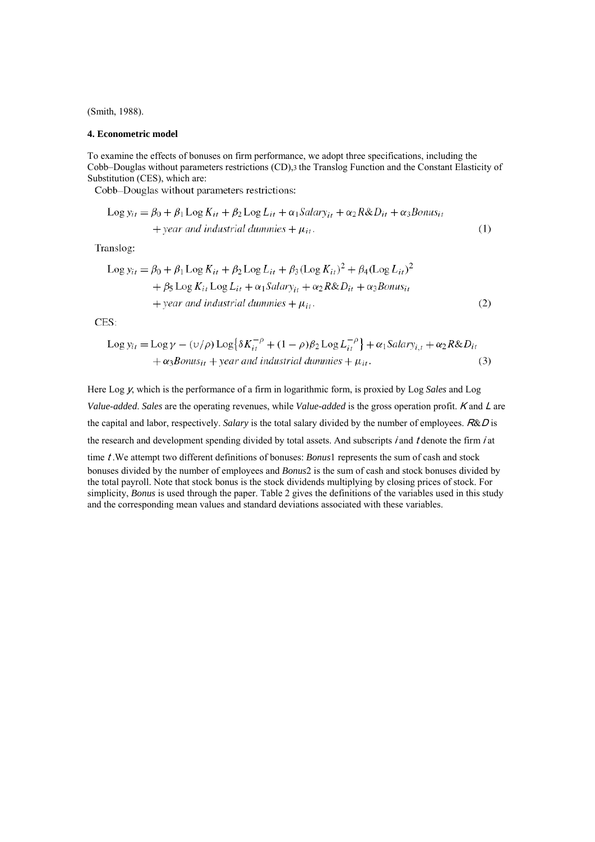(Smith, 1988).

#### **4. Econometric model**

To examine the effects of bonuses on firm performance, we adopt three specifications, including the Cobb–Douglas without parameters restrictions (CD),3 the Translog Function and the Constant Elasticity of Substitution (CES), which are:

Cobb-Douglas without parameters restrictions:

$$
Log y_{it} = \beta_0 + \beta_1 Log K_{it} + \beta_2 Log L_{it} + \alpha_1 Salary_{it} + \alpha_2 R \& D_{it} + \alpha_3 Bonus_{it}
$$
  
+ year and industrial dummies +  $\mu_{it}$ . (1)

Translog:

$$
Log y_{it} = \beta_0 + \beta_1 Log K_{it} + \beta_2 Log L_{it} + \beta_3 (Log K_{it})^2 + \beta_4 (Log L_{it})^2
$$
  
+  $\beta_5 Log K_{it} Log L_{it} + \alpha_1 Salary_{it} + \alpha_2 R \& D_{it} + \alpha_3 Bonus_{it}$   
+ year and industrial dummies +  $\mu_{it}$ . (2)

CES:

$$
\text{Log } y_{it} = \text{Log } \gamma - (\upsilon/\rho) \text{Log}\{\delta K_{it}^{-\rho} + (1 - \rho)\beta_2 \text{Log } L_{it}^{-\rho}\} + \alpha_1 \text{Salary}_{i,t} + \alpha_2 \text{R\&D_{it} + \alpha_3 \text{Bonus}_{it} + \text{year and industrial dummies} + \mu_{it}.
$$
\n(3)

Here Log y, which is the performance of a firm in logarithmic form, is proxied by Log *Sales* and Log *Value*-*added*. *Sales* are the operating revenues, while *Value-added* is the gross operation profit. K and L are the capital and labor, respectively. *Salary* is the total salary divided by the number of employees. R&D is the research and development spending divided by total assets. And subscripts  $\ell$  and  $\ell$  denote the firm  $\ell$  at time t .We attempt two different definitions of bonuses: *Bonus*1 represents the sum of cash and stock

bonuses divided by the number of employees and *Bonus*2 is the sum of cash and stock bonuses divided by the total payroll. Note that stock bonus is the stock dividends multiplying by closing prices of stock. For simplicity, *Bonus* is used through the paper. Table 2 gives the definitions of the variables used in this study and the corresponding mean values and standard deviations associated with these variables.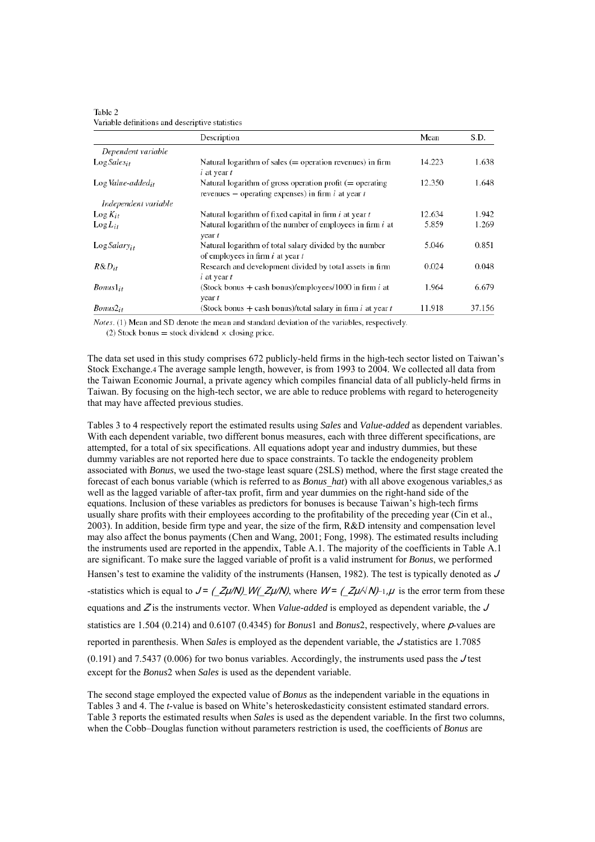Table 2 Variable definitions and descriptive statistics

|                            | Description                                                                                                         | Mean   | S.D.   |
|----------------------------|---------------------------------------------------------------------------------------------------------------------|--------|--------|
| Dependent variable         |                                                                                                                     |        |        |
| $Log Sales_{it}$           | Natural logarithm of sales $($ = operation revenues) in firm<br>$i$ at year $t$                                     | 14.223 | 1.638  |
| $Log Value-added_{it}$     | Natural logarithm of gross operation profit $($ = operating<br>revenues – operating expenses) in firm i at year $t$ | 12.350 | 1.648  |
| Independent variable       |                                                                                                                     |        |        |
| $\text{Log } K_{it}$       | Natural logarithm of fixed capital in firm $i$ at year $t$                                                          | 12.634 | 1.942  |
| $\text{Log} L_{it}$        | Natural logarithm of the number of employees in firm i at<br>year t                                                 | 5.859  | 1.269  |
| $Log$ Salary <sub>it</sub> | Natural logarithm of total salary divided by the number<br>of employees in firm $i$ at year $t$                     | 5.046  | 0.851  |
| $R&D_{it}$                 | Research and development divided by total assets in firm<br>$i$ at year $t$                                         | 0.024  | 0.048  |
| $Bomus1_{it}$              | (Stock bonus + cash bonus)/employees/1000 in firm i at<br>year t                                                    | 1.964  | 6.679  |
| $Bonus2_{it}$              | (Stock bonus + cash bonus)/total salary in firm i at year t                                                         | 11.918 | 37.156 |

Notes. (1) Mean and SD denote the mean and standard deviation of the variables, respectively.

(2) Stock bonus = stock dividend  $\times$  closing price.

The data set used in this study comprises 672 publicly-held firms in the high-tech sector listed on Taiwan's Stock Exchange.4 The average sample length, however, is from 1993 to 2004. We collected all data from the Taiwan Economic Journal, a private agency which compiles financial data of all publicly-held firms in Taiwan. By focusing on the high-tech sector, we are able to reduce problems with regard to heterogeneity that may have affected previous studies.

Tables 3 to 4 respectively report the estimated results using *Sales* and *Value*-*added* as dependent variables. With each dependent variable, two different bonus measures, each with three different specifications, are attempted, for a total of six specifications. All equations adopt year and industry dummies, but these dummy variables are not reported here due to space constraints. To tackle the endogeneity problem associated with *Bonus*, we used the two-stage least square (2SLS) method, where the first stage created the forecast of each bonus variable (which is referred to as *Bonus*\_*hat*) with all above exogenous variables,5 as well as the lagged variable of after-tax profit, firm and year dummies on the right-hand side of the equations. Inclusion of these variables as predictors for bonuses is because Taiwan's high-tech firms usually share profits with their employees according to the profitability of the preceding year (Cin et al., 2003). In addition, beside firm type and year, the size of the firm, R&D intensity and compensation level may also affect the bonus payments (Chen and Wang, 2001; Fong, 1998). The estimated results including the instruments used are reported in the appendix, Table A.1. The majority of the coefficients in Table A.1 are significant. To make sure the lagged variable of profit is a valid instrument for *Bonus*, we performed Hansen's test to examine the validity of the instruments (Hansen, 1982). The test is typically denoted as  $J$ -statistics which is equal to  $J = (Z\mu/N)$ \_W( $Z\mu/N$ ), where  $W = (Z\mu/N)$ -1, $\mu$  is the error term from these equations and  $Z$  is the instruments vector. When *Value-added* is employed as dependent variable, the  $J$ statistics are 1.504 (0.214) and 0.6107 (0.4345) for *Bonus*1 and *Bonus*2, respectively, where  $p$ -values are reported in parenthesis. When *Sales* is employed as the dependent variable, the J statistics are 1.7085  $(0.191)$  and 7.5437 (0.006) for two bonus variables. Accordingly, the instruments used pass the J test except for the *Bonus*2 when *Sales* is used as the dependent variable.

The second stage employed the expected value of *Bonus* as the independent variable in the equations in Tables 3 and 4. The *t-*value is based on White's heteroskedasticity consistent estimated standard errors. Table 3 reports the estimated results when *Sales* is used as the dependent variable. In the first two columns, when the Cobb–Douglas function without parameters restriction is used, the coefficients of *Bonus* are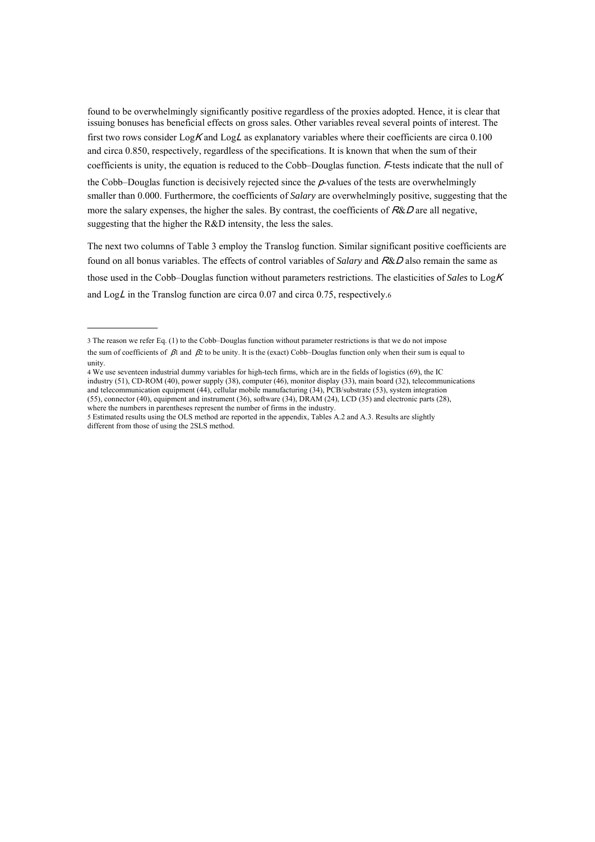found to be overwhelmingly significantly positive regardless of the proxies adopted. Hence, it is clear that issuing bonuses has beneficial effects on gross sales. Other variables reveal several points of interest. The first two rows consider  $Log K$  and  $Log L$  as explanatory variables where their coefficients are circa 0.100 and circa 0.850, respectively, regardless of the specifications. It is known that when the sum of their coefficients is unity, the equation is reduced to the Cobb–Douglas function. F-tests indicate that the null of the Cobb–Douglas function is decisively rejected since the  $\rho$ -values of the tests are overwhelmingly smaller than 0.000. Furthermore, the coefficients of *Salary* are overwhelmingly positive, suggesting that the more the salary expenses, the higher the sales. By contrast, the coefficients of  $R&D$  are all negative, suggesting that the higher the R&D intensity, the less the sales.

The next two columns of Table 3 employ the Translog function. Similar significant positive coefficients are found on all bonus variables. The effects of control variables of *Salary* and R&D also remain the same as those used in the Cobb–Douglas function without parameters restrictions. The elasticities of *Sales* to LogK and  $\text{Log} \mathcal{L}$  in the Translog function are circa 0.07 and circa 0.75, respectively.6

<sup>3</sup> The reason we refer Eq. (1) to the Cobb–Douglas function without parameter restrictions is that we do not impose the sum of coefficients of  $\beta$ 1 and  $\beta$ 2 to be unity. It is the (exact) Cobb–Douglas function only when their sum is equal to unity.

<sup>4</sup> We use seventeen industrial dummy variables for high-tech firms, which are in the fields of logistics (69), the IC industry (51), CD-ROM (40), power supply (38), computer (46), monitor display (33), main board (32), telecommunications and telecommunication equipment (44), cellular mobile manufacturing (34), PCB/substrate (53), system integration (55), connector (40), equipment and instrument (36), software (34), DRAM (24), LCD (35) and electronic parts (28), where the numbers in parentheses represent the number of firms in the industry.

<sup>5</sup> Estimated results using the OLS method are reported in the appendix, Tables A.2 and A.3. Results are slightly different from those of using the 2SLS method.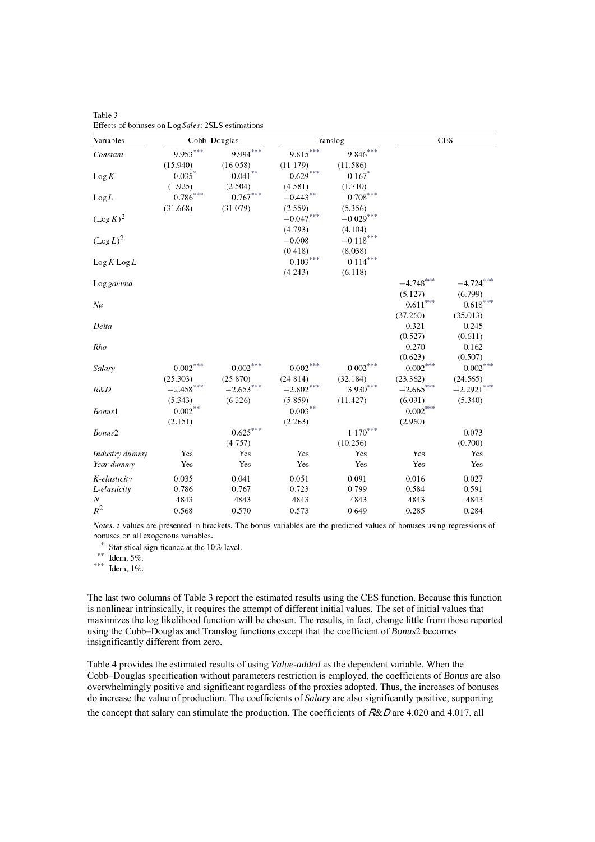| Table 3                                           |  |  |
|---------------------------------------------------|--|--|
| Effects of bonuses on Log Sales: 2SLS estimations |  |  |

| Variables                     |             | Cobb-Douglas       |              | Translog               |                 | <b>CES</b>             |
|-------------------------------|-------------|--------------------|--------------|------------------------|-----------------|------------------------|
| Constant                      | $9.953***$  | $9.994***$         | $9.815***$   | $9.846***$             |                 |                        |
|                               | (15.940)    | (16.058)           | (11.179)     | (11.586)               |                 |                        |
| $\text{Log } K$               | $0.035*$    | $0.041^{\ast\ast}$ | $0.629***$   | $0.167*$               |                 |                        |
|                               | (1.925)     | (2.504)            | (4.581)      | (1.710)                |                 |                        |
| $\text{Log} L$                | $0.786***$  | $0.767***$         | $-0.443***$  | $0.708***$             |                 |                        |
|                               | (31.668)    | (31.079)           | (2.559)      | (5.356)                |                 |                        |
| $(\text{Log } K)^2$           |             |                    | $-0.047***$  | $-0.029***$            |                 |                        |
|                               |             |                    | (4.793)      | (4.104)                |                 |                        |
| $(\text{Log } L)^2$           |             |                    | $-0.008$     | $-0.118***$            |                 |                        |
|                               |             |                    | (0.418)      | (8.038)                |                 |                        |
| $\text{Log } K \text{Log } L$ |             |                    | $0.103***$   | $0.114^{\ast\ast\ast}$ |                 |                        |
|                               |             |                    | (4.243)      | (6.118)                |                 |                        |
| Log gamma                     |             |                    |              |                        | $-4.748***$     | $-4.724***$            |
|                               |             |                    |              |                        | (5.127)         | (6.799)                |
| Nu                            |             |                    |              |                        | ***<br>0.611    | $0.618^{\ast\ast\ast}$ |
|                               |             |                    |              |                        | (37.260)        | (35.013)               |
| Delta                         |             |                    |              |                        | 0.321           | 0.245                  |
|                               |             |                    |              |                        | (0.527)         | (0.611)                |
| Rho                           |             |                    |              |                        | 0.270           | 0.162                  |
|                               |             |                    |              |                        | (0.623)         | (0.507)                |
| Salary                        | $0.002***$  | $0.002***$         | $0.002***$   | $0.002***$             | $0.002***$      | $0.002***$             |
|                               | (25.303)    | (25.870)           | (24.814)     | (32.184)               | (23.362)        | (24.565)               |
| R&D                           | $-2.458***$ | $-2.653***$        | $-2.802***$  | $3.930***$             | $-2.665***$     | $-2.2921***$           |
|                               | (5.343)     | (6.326)            | (5.859)      | (11.427)               | (6.091)         | (5.340)                |
| Bonus1                        | $0.002***$  |                    | $0.003^{**}$ |                        | $0.002^{***}\,$ |                        |
|                               | (2.151)     |                    | (2.263)      |                        | (2.960)         |                        |
| Bonus2                        |             | $0.625***$         |              | $1.170^{\ast\ast\ast}$ |                 | 0.073                  |
|                               |             | (4.757)            |              | (10.256)               |                 | (0.700)                |
| Industry dummy                | Yes         | Yes                | Yes          | Yes                    | Yes             | Yes                    |
| Year dummy                    | Yes         | Yes                | Yes          | Yes                    | Yes             | Yes                    |
| K-elasticity                  | 0.035       | 0.041              | 0.051        | 0.091                  | 0.016           | 0.027                  |
| L-elasticity                  | 0.786       | 0.767              | 0.723        | 0.799                  | 0.584           | 0.591                  |
| N                             | 4843        | 4843               | 4843         | 4843                   | 4843            | 4843                   |
| $R^2$                         | 0.568       | 0.570              | 0.573        | 0.649                  | 0.285           | 0.284                  |

Notes. t values are presented in brackets. The bonus variables are the predicted values of bonuses using regressions of bonuses on all exogenous variables.

\* Statistical significance at the 10% level.

 $\frac{**}{\text{Idem}, 5\%}.$ 

<sup>\*\*\*</sup> Idem,  $1\%$ .

The last two columns of Table 3 report the estimated results using the CES function. Because this function is nonlinear intrinsically, it requires the attempt of different initial values. The set of initial values that maximizes the log likelihood function will be chosen. The results, in fact, change little from those reported using the Cobb–Douglas and Translog functions except that the coefficient of *Bonus*2 becomes insignificantly different from zero.

Table 4 provides the estimated results of using *Value-added* as the dependent variable. When the Cobb–Douglas specification without parameters restriction is employed, the coefficients of *Bonus* are also overwhelmingly positive and significant regardless of the proxies adopted. Thus, the increases of bonuses do increase the value of production. The coefficients of *Salary* are also significantly positive, supporting

the concept that salary can stimulate the production. The coefficients of  $R&D$  are 4.020 and 4.017, all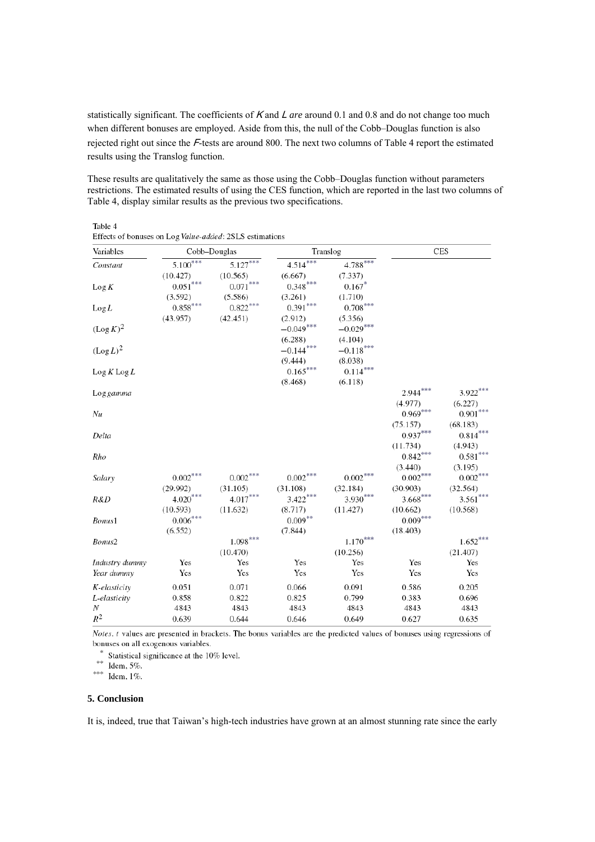statistically significant. The coefficients of K and L *are* around 0.1 and 0.8 and do not change too much when different bonuses are employed. Aside from this, the null of the Cobb–Douglas function is also rejected right out since the F-tests are around 800. The next two columns of Table 4 report the estimated results using the Translog function.

These results are qualitatively the same as those using the Cobb–Douglas function without parameters restrictions. The estimated results of using the CES function, which are reported in the last two columns of Table 4, display similar results as the previous two specifications.

| Variables                     |                        | Cobb-Douglas           |                        | Translog        |            | <b>CES</b>             |
|-------------------------------|------------------------|------------------------|------------------------|-----------------|------------|------------------------|
| Constant                      | $5.100$ ***            | $5.127$ ***            | $4.514***$             | $4.788***$      |            |                        |
|                               | (10.427)               | (10.565)               | (6.667)                | (7.337)         |            |                        |
| $\text{Log } K$               | $0.051^{\ast\ast\ast}$ | $0.071^{\ast\ast\ast}$ | $0.348^{\ast\ast\ast}$ | $0.167*$        |            |                        |
|                               | (3.592)                | (5.586)                | (3.261)                | (1.710)         |            |                        |
| $\text{Log } L$               | $0.858***$             | $0.822***$             | $0.391***$             | $0.708***$      |            |                        |
|                               | (43.957)               | (42.451)               | (2.912)                | (5.356)         |            |                        |
| $(\text{Log } K)^2$           |                        |                        | $-0.049***$            | $-0.029***$     |            |                        |
|                               |                        |                        | (6.288)                | (4.104)         |            |                        |
| $(\text{Log } L)^2$           |                        |                        | $-0.144$ ***           | $-0.118***$     |            |                        |
|                               |                        |                        | (9.444)                | (8.038)         |            |                        |
| $\text{Log } K \text{Log } L$ |                        |                        | $0.165***$             | $0.114^{***}\,$ |            |                        |
|                               |                        |                        | (8.468)                | (6.118)         |            |                        |
| Log gamma                     |                        |                        |                        |                 | $2.944***$ | $3.922***$             |
|                               |                        |                        |                        |                 | (4.977)    | (6.227)                |
| Nu                            |                        |                        |                        |                 | $0.969***$ | $0.901^{\ast\ast\ast}$ |
|                               |                        |                        |                        |                 | (75.157)   | (68.183)               |
| Delta                         |                        |                        |                        |                 | $0.937***$ | $0.814^{\ast\ast\ast}$ |
|                               |                        |                        |                        |                 | (11.734)   | (4.943)                |
| Rho                           |                        |                        |                        |                 | $0.842***$ | $0.581^{\ast\ast\ast}$ |
|                               |                        |                        |                        |                 | (3.440)    | (3.195)                |
| Salary                        | $0.002***$             | $0.002***$             | $0.002***$             | $0.002^{***}$   | $0.002***$ | $0.002^{***}$          |
|                               | (29.992)               | (31.105)               | (31.108)               | (32.184)        | (30.903)   | (32.564)               |
| R&D                           | $4.020^{\ast\ast\ast}$ | $4.017^{***}$          | $3.422***$             | $3.930***$      | $3.668***$ | ***<br>3.561           |
|                               | (10.593)               | (11.632)               | (8.717)                | (11.427)        | (10.662)   | (10.568)               |
| Bonus1                        | $0.006^{***}\,$        |                        | $0.009^{**}$           |                 | $0.009***$ |                        |
|                               | (6.552)                |                        | (7.844)                |                 | (18.403)   |                        |
| Bonus2                        |                        | $1.098***$             |                        | $1.170***$      |            | $1.652^{\ast\ast\ast}$ |
|                               |                        | (10.470)               |                        | (10.256)        |            | (21.407)               |
| Industry dummy                | Yes                    | Yes                    | Yes                    | Yes             | Yes        | Yes                    |
| Year dummy                    | Yes                    | Yes                    | Yes                    | Yes             | Yes        | Yes                    |
| K-elasticity                  | 0.051                  | 0.071                  | 0.066                  | 0.091           | 0.586      | 0.205                  |
| L-elasticity                  | 0.858                  | 0.822                  | 0.825                  | 0.799           | 0.383      | 0.696                  |
| N                             | 4843                   | 4843                   | 4843                   | 4843            | 4843       | 4843                   |
| $R^2$                         | 0.639                  | 0.644                  | 0.646                  | 0.649           | 0.627      | 0.635                  |

Table 4 Effects of bonuses on Log Value-added: 2SLS estimations

Notes. t values are presented in brackets. The bonus variables are the predicted values of bonuses using regressions of bonuses on all exogenous variables.

\* Statistical significance at the 10% level.<br>  $*$  Idem, 5%.

\*\*\* Idem,  $1\%$ .

## **5. Conclusion**

It is, indeed, true that Taiwan's high-tech industries have grown at an almost stunning rate since the early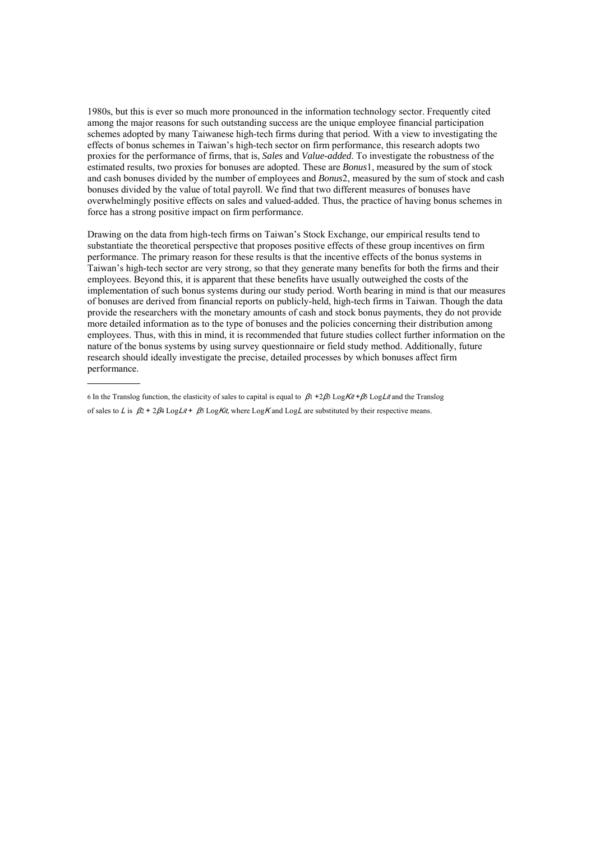1980s, but this is ever so much more pronounced in the information technology sector. Frequently cited among the major reasons for such outstanding success are the unique employee financial participation schemes adopted by many Taiwanese high-tech firms during that period. With a view to investigating the effects of bonus schemes in Taiwan's high-tech sector on firm performance, this research adopts two proxies for the performance of firms, that is, *Sales* and *Value-added*. To investigate the robustness of the estimated results, two proxies for bonuses are adopted. These are *Bonus*1, measured by the sum of stock and cash bonuses divided by the number of employees and *Bonus*2, measured by the sum of stock and cash bonuses divided by the value of total payroll. We find that two different measures of bonuses have overwhelmingly positive effects on sales and valued-added. Thus, the practice of having bonus schemes in force has a strong positive impact on firm performance.

Drawing on the data from high-tech firms on Taiwan's Stock Exchange, our empirical results tend to substantiate the theoretical perspective that proposes positive effects of these group incentives on firm performance. The primary reason for these results is that the incentive effects of the bonus systems in Taiwan's high-tech sector are very strong, so that they generate many benefits for both the firms and their employees. Beyond this, it is apparent that these benefits have usually outweighed the costs of the implementation of such bonus systems during our study period. Worth bearing in mind is that our measures of bonuses are derived from financial reports on publicly-held, high-tech firms in Taiwan. Though the data provide the researchers with the monetary amounts of cash and stock bonus payments, they do not provide more detailed information as to the type of bonuses and the policies concerning their distribution among employees. Thus, with this in mind, it is recommended that future studies collect further information on the nature of the bonus systems by using survey questionnaire or field study method. Additionally, future research should ideally investigate the precise, detailed processes by which bonuses affect firm performance.

6 In the Translog function, the elasticity of sales to capital is equal to  $\beta$ 1 +2 $\beta$ 3 LogKit + $\beta$ 5 LogLit and the Translog of sales to L is  $\beta_2$  + 2 $\beta_4$  LogLit +  $\beta_5$  LogKit, where LogK and LogL are substituted by their respective means.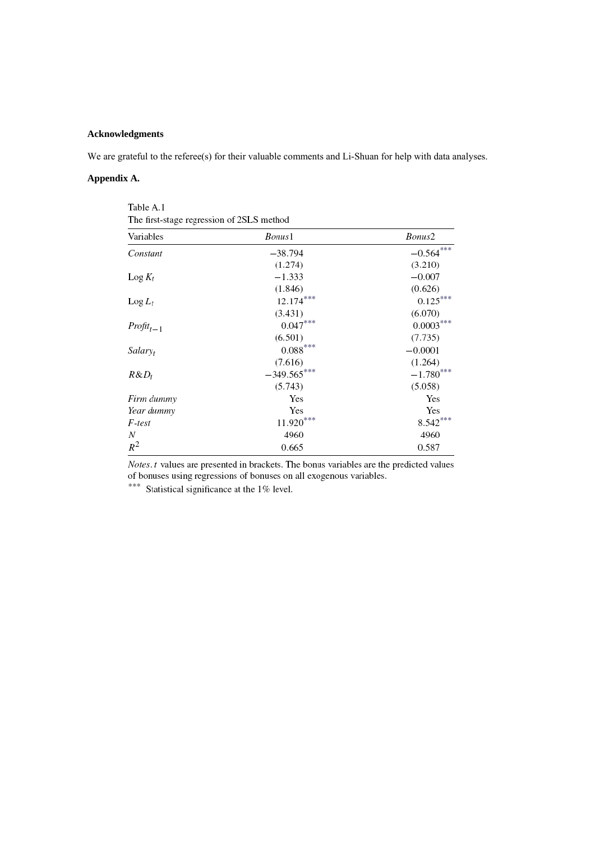# **Acknowledgments**

We are grateful to the referee(s) for their valuable comments and Li-Shuan for help with data analyses.

## **Appendix A.**

| The mat-stage regression of 25155 method |                        |             |  |  |  |
|------------------------------------------|------------------------|-------------|--|--|--|
| Variables                                | Bonus1                 | Bonus2      |  |  |  |
| Constant                                 | $-38.794$              | $-0.564***$ |  |  |  |
|                                          | (1.274)                | (3.210)     |  |  |  |
| $\text{Log } K_t$                        | $-1.333$               | $-0.007$    |  |  |  |
|                                          | (1.846)                | (0.626)     |  |  |  |
| $\text{Log } L_t$                        | $12.174***$            | $0.125***$  |  |  |  |
|                                          | (3.431)                | (6.070)     |  |  |  |
| $Profit_{t-1}$                           | $0.047***$             | $0.0003***$ |  |  |  |
|                                          | (6.501)                | (7.735)     |  |  |  |
| Salary <sub>t</sub>                      | $0.088^{\ast\ast\ast}$ | $-0.0001$   |  |  |  |
|                                          | (7.616)                | (1.264)     |  |  |  |
| $R\&D_t$                                 | $-349.565***$          | $-1.780***$ |  |  |  |
|                                          | (5.743)                | (5.058)     |  |  |  |
| Firm dummy                               | Yes                    | Yes         |  |  |  |
| Year dummy                               | Yes                    | Yes         |  |  |  |
| F-test                                   | $11.920***$            | $8.542***$  |  |  |  |
| N                                        | 4960                   | 4960        |  |  |  |
| $R^2$                                    | 0.665                  | 0.587       |  |  |  |
|                                          |                        |             |  |  |  |

Table A.1 The first-stage regression of 2SLS method

Notes. t values are presented in brackets. The bonus variables are the predicted values of bonuses using regressions of bonuses on all exogenous variables.

<sup>\*\*\*</sup> Statistical significance at the 1% level.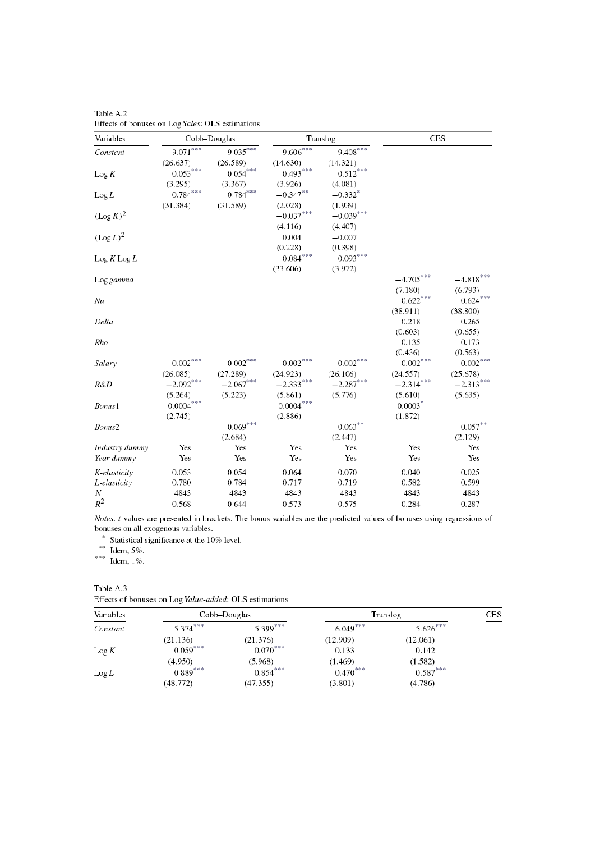Table A.2 Effects of bonuses on Log Sales: OLS estimations

| Variables                     |                  | Cobb-Douglas  |               | Translog        | <b>CES</b>    |                        |
|-------------------------------|------------------|---------------|---------------|-----------------|---------------|------------------------|
| Constant                      | $9.071***$       | $9.035***$    | $9.606***$    | $9.408***$      |               |                        |
|                               | (26.637)         | (26.589)      | (14.630)      | (14.321)        |               |                        |
| $\text{Log } K$               | $0.053***$       | $0.054***$    | $0.493***$    | $0.512***$      |               |                        |
|                               | (3.295)          | (3.367)       | (3.926)       | (4.081)         |               |                        |
| $\text{Log } L$               | $0.784***$       | $0.784***$    | $-0.347**$    | $-0.332*$       |               |                        |
|                               | (31.384)         | (31.589)      | (2.028)       | (1.939)         |               |                        |
| $(\text{Log } K)^2$           |                  |               | $-0.037***$   | $-0.039***$     |               |                        |
|                               |                  |               | (4.116)       | (4.407)         |               |                        |
| $(\text{Log } L)^2$           |                  |               | 0.004         | $-0.007$        |               |                        |
|                               |                  |               | (0.228)       | (0.398)         |               |                        |
| $\text{Log } K \text{Log } L$ |                  |               | $0.084***$    | $0.093***$      |               |                        |
|                               |                  |               | (33.606)      | (3.972)         |               |                        |
| Log gamma                     |                  |               |               |                 | $-4.705***$   | $-4.818***$            |
|                               |                  |               |               |                 | (7.180)       | (6.793)                |
| Nu                            |                  |               |               |                 | $0.622***$    | $0.624^{\ast\ast\ast}$ |
|                               |                  |               |               |                 | (38.911)      | (38.800)               |
| Delta                         |                  |               |               |                 | 0.218         | 0.265                  |
|                               |                  |               |               |                 | (0.603)       | (0.655)                |
| Rho                           |                  |               |               |                 | 0.135         | 0.173                  |
|                               |                  |               |               |                 | (0.436)       | (0.563)                |
| Salary                        | $0.002^{***}$    | $0.002^{***}$ | $0.002^{***}$ | $0.002^{***}\,$ | $0.002^{***}$ | $0.002^{***}$          |
|                               | (26.085)         | (27.289)      | (24.923)      | (26.106)        | (24.557)      | (25.678)               |
| R&D                           | $-2.092***$      | $-2.067***$   | $-2.333***$   | $-2.287***$     | $-2.314***$   | $-2.313***$            |
|                               | (5.264)          | (5.223)       | (5.861)       | (5.776)         | (5.610)       | (5.635)                |
| Bonus1                        | $0.0004^{***}\,$ |               | $0.0004***$   |                 | $0.0003*$     |                        |
|                               | (2.745)          |               | (2.886)       |                 | (1.872)       |                        |
| Bonus2                        |                  | $0.069***$    |               | $0.063**$       |               | $0.057**$              |
|                               |                  | (2.684)       |               | (2.447)         |               | (2.129)                |
| Industry dummy                | Yes              | Yes           | Yes           | Yes             | Yes           | Yes                    |
| Year dummy                    | Yes              | Yes           | Yes           | Yes             | Yes           | Yes                    |
| K-elasticity                  | 0.053            | 0.054         | 0.064         | 0.070           | 0.040         | 0.025                  |
| L-elasticity                  | 0.780            | 0.784         | 0.717         | 0.719           | 0.582         | 0.599                  |
| N                             | 4843             | 4843          | 4843          | 4843            | 4843          | 4843                   |
| $\mathbb{R}^2$                | 0.568            | 0.644         | 0.573         | 0.575           | 0.284         | 0.287                  |

Notes. t values are presented in brackets. The bonus variables are the predicted values of bonuses using regressions of bonuses on all exogenous variables.

\* Statistical significance at the 10% level.<br>\* Idem, 5%.<br>Idem, 1%.

# Table A.3

Effects of bonuses on Log Value-added: OLS estimations

| Variables       | Cobb-Douglas |            | Translog   |            | CES |
|-----------------|--------------|------------|------------|------------|-----|
| Constant        | $5.374***$   | $5.399***$ | $6.049***$ | $5.626***$ |     |
|                 | (21.136)     | (21.376)   | (12.909)   | (12.061)   |     |
| $\text{Log } K$ | $0.059***$   | $0.070***$ | 0.133      | 0.142      |     |
|                 | (4.950)      | (5.968)    | (1.469)    | (1.582)    |     |
| Log L           | $0.889***$   | $0.854***$ | $0.470***$ | $0.587***$ |     |
|                 | (48.772)     | (47.355)   | (3.801)    | (4.786)    |     |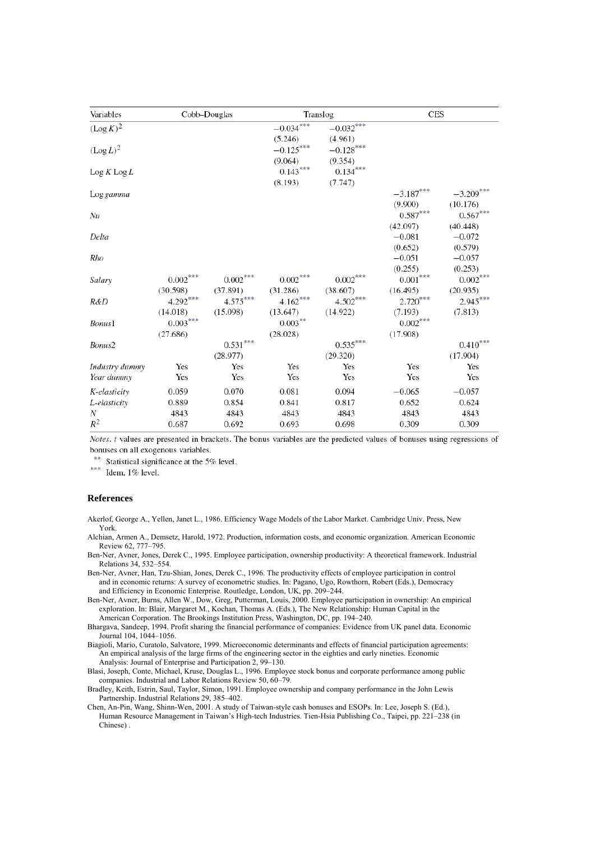| Variables                     |                 | Cobb-Douglas           |               | Translog               | <b>CES</b>      |               |
|-------------------------------|-----------------|------------------------|---------------|------------------------|-----------------|---------------|
| $(\text{Log } K)^2$           |                 |                        | $-0.034$ ***  | $-0.032***$            |                 |               |
|                               |                 |                        | (5.246)       | (4.961)                |                 |               |
| $(\text{Log } L)^2$           |                 |                        | $-0.125***$   | $-0.128***$            |                 |               |
|                               |                 |                        | (9.064)       | (9.354)                |                 |               |
| $\text{Log } K \text{Log } L$ |                 |                        | $0.143***$    | $0.134***$             |                 |               |
|                               |                 |                        | (8.193)       | (7.747)                |                 |               |
| Log gamma                     |                 |                        |               |                        | $-3.187***$     | $-3.209***$   |
|                               |                 |                        |               |                        | (9.900)         | (10.176)      |
| Nu                            |                 |                        |               |                        | $0.587***$      | $0.567***$    |
|                               |                 |                        |               |                        | (42.097)        | (40.448)      |
| Delta                         |                 |                        |               |                        | $-0.081$        | $-0.072$      |
|                               |                 |                        |               |                        | (0.652)         | (0.579)       |
| Rho                           |                 |                        |               |                        | $-0.051$        | $-0.057$      |
|                               |                 |                        |               |                        | (0.255)         | (0.253)       |
| Salary                        | $0.002^{***}\,$ | $0.002^{***}\,$        | $0.002^{***}$ | $0.002^{***}\,$        | $0.001^{***}\,$ | $0.002^{***}$ |
|                               | (30.598)        | (37.891)               | (31.286)      | (38.607)               | (16.495)        | (20.935)      |
| R&D                           | $4.292***$      | $4.575***$             | $4.162***$    | $4.502^{\ast\ast\ast}$ | $2.720***$      | $2.945***$    |
|                               | (14.018)        | (15.098)               | (13.647)      | (14.922)               | (7.193)         | (7.813)       |
| Bonus1                        | $0.003^{***}$   |                        | $0.003***$    |                        | $0.002^{***}$   |               |
|                               | (27.686)        |                        | (28.028)      |                        | (17.908)        |               |
| Bonus2                        |                 | $0.531^{\ast\ast\ast}$ |               | $0.535^{\ast\ast\ast}$ |                 | $0.410***$    |
|                               |                 | (28.977)               |               | (29.320)               |                 | (17.904)      |
| Industry dummy                | Yes             | Yes                    | Yes           | Yes                    | Yes             | Yes           |
| Year dummy                    | Yes             | Yes                    | Yes           | Yes                    | Yes             | Yes           |
| K-elasticity                  | 0.059           | 0.070                  | 0.081         | 0.094                  | $-0.065$        | $-0.057$      |
| L-elasticity                  | 0.889           | 0.854                  | 0.841         | 0.817                  | 0.652           | 0.624         |
| N                             | 4843            | 4843                   | 4843          | 4843                   | 4843            | 4843          |
| $R^2$                         | 0.687           | 0.692                  | 0.693         | 0.698                  | 0.309           | 0.309         |

Notes. t values are presented in brackets. The bonus variables are the predicted values of bonuses using regressions of bonuses on all exogenous variables.

\*\* Statistical significance at the 5% level.

\*\*\* Idem, 1% level.

#### **References**

Akerlof, George A., Yellen, Janet L., 1986. Efficiency Wage Models of the Labor Market. Cambridge Univ. Press, New York.

Alchian, Armen A., Demsetz, Harold, 1972. Production, information costs, and economic organization. American Economic Review 62, 777–795.

Ben-Ner, Avner, Jones, Derek C., 1995. Employee participation, ownership productivity: A theoretical framework. Industrial Relations 34, 532–554.

Ben-Ner, Avner, Han, Tzu-Shian, Jones, Derek C., 1996. The productivity effects of employee participation in control and in economic returns: A survey of econometric studies. In: Pagano, Ugo, Rowthorn, Robert (Eds.), Democracy and Efficiency in Economic Enterprise. Routledge, London, UK, pp. 209–244.

Ben-Ner, Avner, Burns, Allen W., Dow, Greg, Putterman, Louis, 2000. Employee participation in ownership: An empirical exploration. In: Blair, Margaret M., Kochan, Thomas A. (Eds.), The New Relationship: Human Capital in the American Corporation. The Brookings Institution Press, Washington, DC, pp. 194–240.

Bhargava, Sandeep, 1994. Profit sharing the financial performance of companies: Evidence from UK panel data. Economic Journal 104, 1044–1056.

Biagioli, Mario, Curatolo, Salvatore, 1999. Microeconomic determinants and effects of financial participation agreements: An empirical analysis of the large firms of the engineering sector in the eighties and early nineties. Economic Analysis: Journal of Enterprise and Participation 2, 99–130.

Blasi, Joseph, Conte, Michael, Kruse, Douglas L., 1996. Employee stock bonus and corporate performance among public companies. Industrial and Labor Relations Review 50, 60–79.

Bradley, Keith, Estrin, Saul, Taylor, Simon, 1991. Employee ownership and company performance in the John Lewis Partnership. Industrial Relations 29, 385–402.

Chen, An-Pin, Wang, Shinn-Wen, 2001. A study of Taiwan-style cash bonuses and ESOPs. In: Lee, Joseph S. (Ed.), Human Resource Management in Taiwan's High-tech Industries. Tien-Hsia Publishing Co., Taipei, pp. 221–238 (in Chinese) .